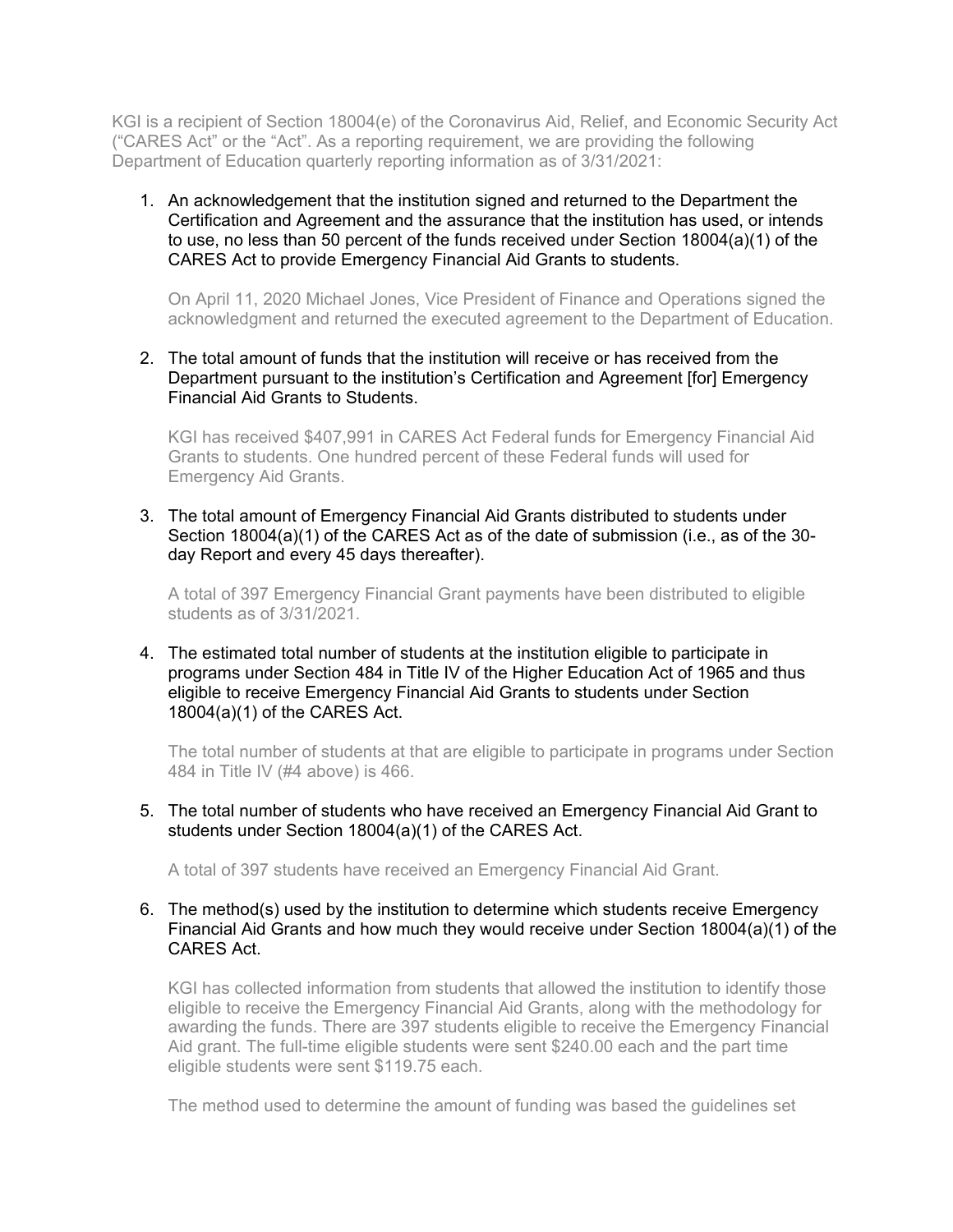KGI is a recipient of Section 18004(e) of the Coronavirus Aid, Relief, and Economic Security Act ("CARES Act" or the "Act". As a reporting requirement, we are providing the following Department of Education quarterly reporting information as of 3/31/2021:

1. An acknowledgement that the institution signed and returned to the Department the Certification and Agreement and the assurance that the institution has used, or intends to use, no less than 50 percent of the funds received under Section 18004(a)(1) of the CARES Act to provide Emergency Financial Aid Grants to students.

On April 11, 2020 Michael Jones, Vice President of Finance and Operations signed the acknowledgment and returned the executed agreement to the Department of Education.

2. The total amount of funds that the institution will receive or has received from the Department pursuant to the institution's Certification and Agreement [for] Emergency Financial Aid Grants to Students.

KGI has received \$407,991 in CARES Act Federal funds for Emergency Financial Aid Grants to students. One hundred percent of these Federal funds will used for Emergency Aid Grants.

3. The total amount of Emergency Financial Aid Grants distributed to students under Section 18004(a)(1) of the CARES Act as of the date of submission (i.e., as of the 30 day Report and every 45 days thereafter).

A total of 397 Emergency Financial Grant payments have been distributed to eligible students as of 3/31/2021.

4. The estimated total number of students at the institution eligible to participate in programs under Section 484 in Title IV of the Higher Education Act of 1965 and thus eligible to receive Emergency Financial Aid Grants to students under Section 18004(a)(1) of the CARES Act.

The total number of students at that are eligible to participate in programs under Section 484 in Title IV (#4 above) is 466.

5. The total number of students who have received an Emergency Financial Aid Grant to students under Section 18004(a)(1) of the CARES Act.

A total of 397 students have received an Emergency Financial Aid Grant.

## 6. The method(s) used by the institution to determine which students receive Emergency Financial Aid Grants and how much they would receive under Section 18004(a)(1) of the CARES Act.

KGI has collected information from students that allowed the institution to identify those eligible to receive the Emergency Financial Aid Grants, along with the methodology for awarding the funds. There are 397 students eligible to receive the Emergency Financial Aid grant. The full-time eligible students were sent \$240.00 each and the part time eligible students were sent \$119.75 each.

The method used to determine the amount of funding was based the guidelines set